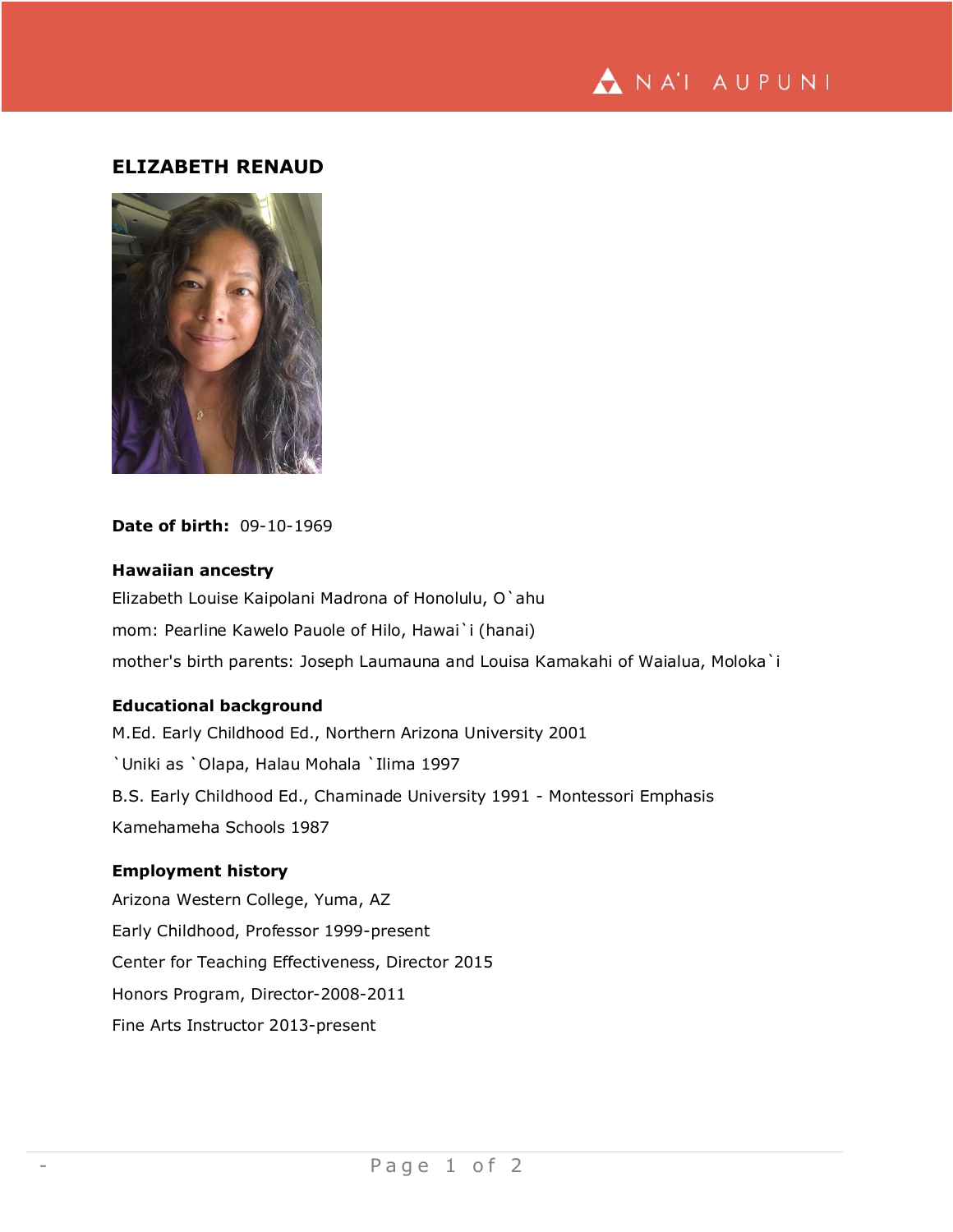

# **ELIZABETH RENAUD**



### **Date of birth:** 09-10-1969

# **Hawaiian ancestry**

Elizabeth Louise Kaipolani Madrona of Honolulu, O`ahu mom: Pearline Kawelo Pauole of Hilo, Hawai`i (hanai) mother's birth parents: Joseph Laumauna and Louisa Kamakahi of Waialua, Moloka`i

## **Educational background**

M.Ed. Early Childhood Ed., Northern Arizona University 2001 `Uniki as `Olapa, Halau Mohala `Ilima 1997 B.S. Early Childhood Ed., Chaminade University 1991 - Montessori Emphasis Kamehameha Schools 1987

# **Employment history**

Arizona Western College, Yuma, AZ Early Childhood, Professor 1999-present Center for Teaching Effectiveness, Director 2015 Honors Program, Director-2008-2011 Fine Arts Instructor 2013-present